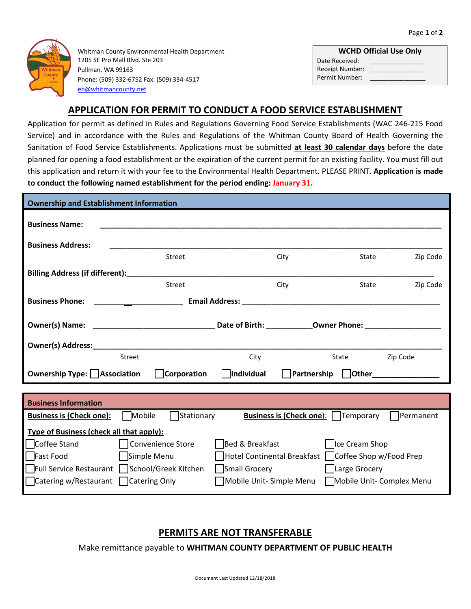

Whitman County Environmental Health Department 1205 SE Pro Mall Blvd. Ste 203 Pullman, WA 99163 Phone: (509) 332-6752 Fax: (509) 334-4517 [eh@whitmancounty.net](mailto:eh@whitmancounty.net)

|                        | <b>WCHD Official Use Only</b> |
|------------------------|-------------------------------|
| Date Received:         |                               |
| <b>Receipt Number:</b> |                               |
| Permit Number:         |                               |

## **APPLICATION FOR PERMIT TO CONDUCT A FOOD SERVICE ESTABLISHMENT**

Application for permit as defined in Rules and Regulations Governing Food Service Establishments (WAC 246-215 Food Service) and in accordance with the Rules and Regulations of the Whitman County Board of Health Governing the Sanitation of Food Service Establishments. Applications must be submitted **at least 30 calendar days** before the date planned for opening a food establishment or the expiration of the current permit for an existing facility. You must fill out this application and return it with your fee to the Environmental Health Department. PLEASE PRINT. **Application is made to conduct the following named establishment for the period ending: January 31.**

| <b>Ownership and Establishment Information</b>                                                                                                                                                                                 |                   |                         |                                                       |                   |
|--------------------------------------------------------------------------------------------------------------------------------------------------------------------------------------------------------------------------------|-------------------|-------------------------|-------------------------------------------------------|-------------------|
| <b>Business Name:</b>                                                                                                                                                                                                          |                   |                         |                                                       |                   |
| <b>Business Address:</b>                                                                                                                                                                                                       |                   |                         |                                                       |                   |
|                                                                                                                                                                                                                                | Street            | City                    | State                                                 | Zip Code          |
| Billing Address (if different):________________                                                                                                                                                                                |                   |                         |                                                       |                   |
|                                                                                                                                                                                                                                | Street            | City                    | State                                                 | Zip Code          |
| <b>Business Phone:</b>                                                                                                                                                                                                         |                   |                         |                                                       |                   |
|                                                                                                                                                                                                                                |                   |                         |                                                       |                   |
| Owner(s) Address: North and South Address and South Address and South Address and South Address and South Address and South Address and South Address and South Address and Address and Address and Address and Address and Ad |                   |                         |                                                       |                   |
| Street                                                                                                                                                                                                                         |                   | City                    | State                                                 | Zip Code          |
| Ownership Type: Association                                                                                                                                                                                                    | Corporation       | Individual              | Partnership   Other                                   |                   |
|                                                                                                                                                                                                                                |                   |                         |                                                       |                   |
| <b>Business Information</b>                                                                                                                                                                                                    |                   |                         |                                                       |                   |
| Mobile<br><b>Business is (Check one):</b>                                                                                                                                                                                      | Stationary        |                         | <b>Business is (Check one):</b>   Temporary           | <b>IPermanent</b> |
| Type of Business (check all that apply):                                                                                                                                                                                       |                   |                         |                                                       |                   |
| Coffee Stand                                                                                                                                                                                                                   | Convenience Store | Bed & Breakfast         | <b>Ice Cream Shop</b>                                 |                   |
| Fast Food<br>Simple Menu                                                                                                                                                                                                       |                   |                         | Hotel Continental Breakfast   Coffee Shop w/Food Prep |                   |
| Full Service Restaurant   School/Greek Kitchen                                                                                                                                                                                 |                   | Small Grocery           | Large Grocery                                         |                   |
| □ Catering w/Restaurant □ Catering Only                                                                                                                                                                                        |                   | Mobile Unit-Simple Menu | Mobile Unit- Complex Menu                             |                   |

## **PERMITS ARE NOT TRANSFERABLE**

Make remittance payable to **WHITMAN COUNTY DEPARTMENT OF PUBLIC HEALTH**